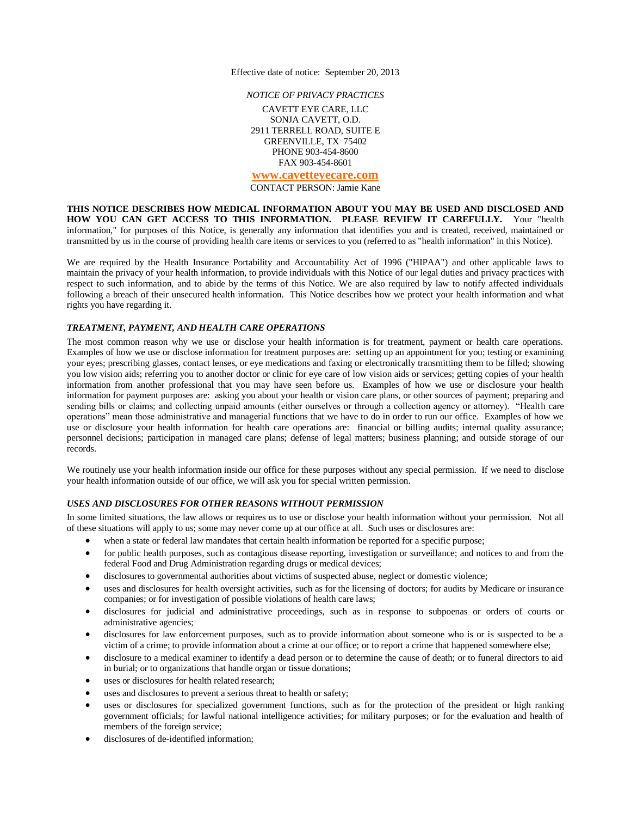Effective date of notice: September 20, 2013

*NOTICE OF PRIVACY PRACTICES*

CAVETT EYE CARE, LLC SONJA CAVETT, O.D. 2911 TERRELL ROAD, SUITE E GREENVILLE, TX 75402 PHONE 903-454-8600 FAX 903-454-8601 **[www.cavetteyecare.com](http://www.cavetteyecare.com/)**

CONTACT PERSON: Jamie Kane

**THIS NOTICE DESCRIBES HOW MEDICAL INFORMATION ABOUT YOU MAY BE USED AND DISCLOSED AND HOW YOU CAN GET ACCESS TO THIS INFORMATION. PLEASE REVIEW IT CAREFULLY.** Your "health information," for purposes of this Notice, is generally any information that identifies you and is created, received, maintained or transmitted by us in the course of providing health care items or services to you (referred to as "health information" in this Notice).

We are required by the Health Insurance Portability and Accountability Act of 1996 ("HIPAA") and other applicable laws to maintain the privacy of your health information, to provide individuals with this Notice of our legal duties and privacy practices with respect to such information, and to abide by the terms of this Notice. We are also required by law to notify affected individuals following a breach of their unsecured health information. This Notice describes how we protect your health information and what rights you have regarding it.

# *TREATMENT, PAYMENT, AND HEALTH CARE OPERATIONS*

The most common reason why we use or disclose your health information is for treatment, payment or health care operations. Examples of how we use or disclose information for treatment purposes are: setting up an appointment for you; testing or examining your eyes; prescribing glasses, contact lenses, or eye medications and faxing or electronically transmitting them to be filled; showing you low vision aids; referring you to another doctor or clinic for eye care of low vision aids or services; getting copies of your health information from another professional that you may have seen before us. Examples of how we use or disclosure your health information for payment purposes are: asking you about your health or vision care plans, or other sources of payment; preparing and sending bills or claims; and collecting unpaid amounts (either ourselves or through a collection agency or attorney). "Health care operations" mean those administrative and managerial functions that we have to do in order to run our office. Examples of how we use or disclosure your health information for health care operations are: financial or billing audits; internal quality assurance; personnel decisions; participation in managed care plans; defense of legal matters; business planning; and outside storage of our records.

We routinely use your health information inside our office for these purposes without any special permission. If we need to disclose your health information outside of our office, we will ask you for special written permission.

# *USES AND DISCLOSURES FOR OTHER REASONS WITHOUT PERMISSION*

In some limited situations, the law allows or requires us to use or disclose your health information without your permission. Not all of these situations will apply to us; some may never come up at our office at all. Such uses or disclosures are:

- when a state or federal law mandates that certain health information be reported for a specific purpose;
- for public health purposes, such as contagious disease reporting, investigation or surveillance; and notices to and from the federal Food and Drug Administration regarding drugs or medical devices;
- disclosures to governmental authorities about victims of suspected abuse, neglect or domestic violence;
- uses and disclosures for health oversight activities, such as for the licensing of doctors; for audits by Medicare or insurance companies; or for investigation of possible violations of health care laws;
- disclosures for judicial and administrative proceedings, such as in response to subpoenas or orders of courts or administrative agencies;
- disclosures for law enforcement purposes, such as to provide information about someone who is or is suspected to be a victim of a crime; to provide information about a crime at our office; or to report a crime that happened somewhere else;
- disclosure to a medical examiner to identify a dead person or to determine the cause of death; or to funeral directors to aid in burial; or to organizations that handle organ or tissue donations;
- uses or disclosures for health related research;
- uses and disclosures to prevent a serious threat to health or safety;
- uses or disclosures for specialized government functions, such as for the protection of the president or high ranking government officials; for lawful national intelligence activities; for military purposes; or for the evaluation and health of members of the foreign service;
- disclosures of de-identified information;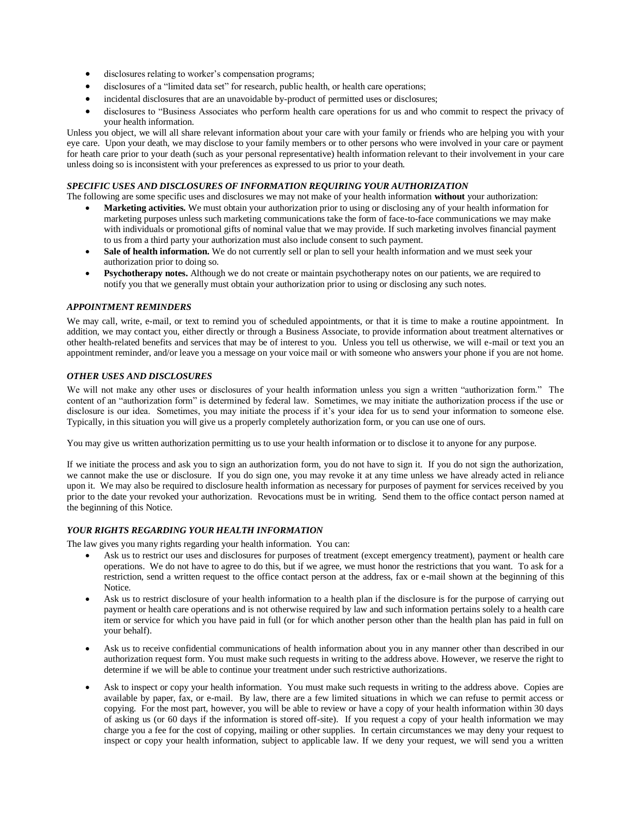- disclosures relating to worker's compensation programs;
- disclosures of a "limited data set" for research, public health, or health care operations;
- incidental disclosures that are an unavoidable by-product of permitted uses or disclosures;
- disclosures to "Business Associates who perform health care operations for us and who commit to respect the privacy of your health information.

Unless you object, we will all share relevant information about your care with your family or friends who are helping you with your eye care. Upon your death, we may disclose to your family members or to other persons who were involved in your care or payment for heath care prior to your death (such as your personal representative) health information relevant to their involvement in your care unless doing so is inconsistent with your preferences as expressed to us prior to your death.

# *SPECIFIC USES AND DISCLOSURES OF INFORMATION REQUIRING YOUR AUTHORIZATION*

The following are some specific uses and disclosures we may not make of your health information **without** your authorization:

- **Marketing activities.** We must obtain your authorization prior to using or disclosing any of your health information for marketing purposes unless such marketing communications take the form of face-to-face communications we may make with individuals or promotional gifts of nominal value that we may provide. If such marketing involves financial payment to us from a third party your authorization must also include consent to such payment.
- Sale of health information. We do not currently sell or plan to sell your health information and we must seek your authorization prior to doing so.
- **Psychotherapy notes.** Although we do not create or maintain psychotherapy notes on our patients, we are required to notify you that we generally must obtain your authorization prior to using or disclosing any such notes.

# *APPOINTMENT REMINDERS*

We may call, write, e-mail, or text to remind you of scheduled appointments, or that it is time to make a routine appointment. In addition, we may contact you, either directly or through a Business Associate, to provide information about treatment alternatives or other health-related benefits and services that may be of interest to you. Unless you tell us otherwise, we will e-mail or text you an appointment reminder, and/or leave you a message on your voice mail or with someone who answers your phone if you are not home.

# *OTHER USES AND DISCLOSURES*

We will not make any other uses or disclosures of your health information unless you sign a written "authorization form." The content of an "authorization form" is determined by federal law. Sometimes, we may initiate the authorization process if the use or disclosure is our idea. Sometimes, you may initiate the process if it's your idea for us to send your information to someone else. Typically, in this situation you will give us a properly completely authorization form, or you can use one of ours.

You may give us written authorization permitting us to use your health information or to disclose it to anyone for any purpose.

If we initiate the process and ask you to sign an authorization form, you do not have to sign it. If you do not sign the authorization, we cannot make the use or disclosure. If you do sign one, you may revoke it at any time unless we have already acted in reliance upon it. We may also be required to disclosure health information as necessary for purposes of payment for services received by you prior to the date your revoked your authorization. Revocations must be in writing. Send them to the office contact person named at the beginning of this Notice.

# *YOUR RIGHTS REGARDING YOUR HEALTH INFORMATION*

The law gives you many rights regarding your health information. You can:

- Ask us to restrict our uses and disclosures for purposes of treatment (except emergency treatment), payment or health care operations. We do not have to agree to do this, but if we agree, we must honor the restrictions that you want. To ask for a restriction, send a written request to the office contact person at the address, fax or e-mail shown at the beginning of this Notice.
- Ask us to restrict disclosure of your health information to a health plan if the disclosure is for the purpose of carrying out payment or health care operations and is not otherwise required by law and such information pertains solely to a health care item or service for which you have paid in full (or for which another person other than the health plan has paid in full on your behalf).
- Ask us to receive confidential communications of health information about you in any manner other than described in our authorization request form. You must make such requests in writing to the address above. However, we reserve the right to determine if we will be able to continue your treatment under such restrictive authorizations.
- Ask to inspect or copy your health information. You must make such requests in writing to the address above. Copies are available by paper, fax, or e-mail. By law, there are a few limited situations in which we can refuse to permit access or copying. For the most part, however, you will be able to review or have a copy of your health information within 30 days of asking us (or 60 days if the information is stored off-site). If you request a copy of your health information we may charge you a fee for the cost of copying, mailing or other supplies. In certain circumstances we may deny your request to inspect or copy your health information, subject to applicable law. If we deny your request, we will send you a written